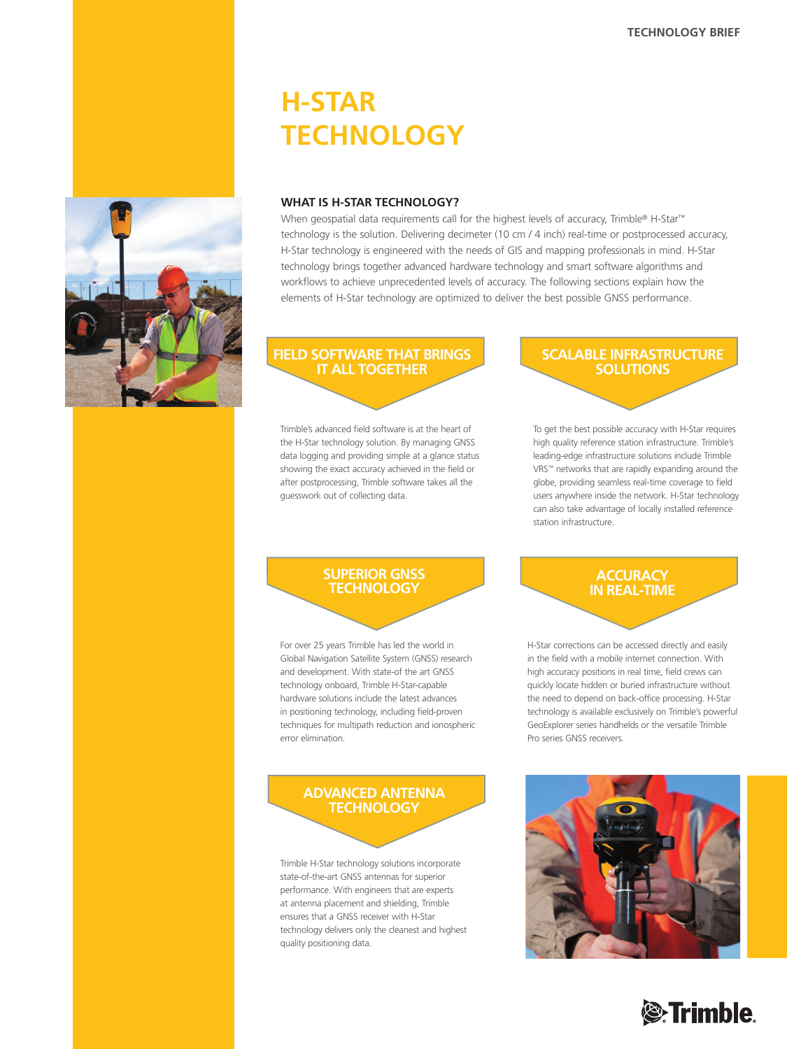# **H-Star Technology**



When geospatial data requirements call for the highest levels of accuracy, Trimble® H-Star™ technology is the solution. Delivering decimeter (10 cm / 4 inch) real-time or postprocessed accuracy, H-Star technology is engineered with the needs of GIS and mapping professionals in mind. H-Star technology brings together advanced hardware technology and smart software algorithms and workflows to achieve unprecedented levels of accuracy. The following sections explain how the elements of H-Star technology are optimized to deliver the best possible GNSS performance.

#### **FIELD SOFTWARE THAT brings IT ALL TOGETHER**

Trimble's advanced field software is at the heart of the H-Star technology solution. By managing GNSS data logging and providing simple at a glance status showing the exact accuracy achieved in the field or after postprocessing, Trimble software takes all the guesswork out of collecting data.

### **SCALABLE INFRASTRUCTURE SOLUTIONS**

To get the best possible accuracy with H-Star requires high quality reference station infrastructure. Trimble's leading-edge infrastructure solutions include Trimble VRS™ networks that are rapidly expanding around the globe, providing seamless real-time coverage to field users anywhere inside the network. H-Star technology can also take advantage of locally installed reference station infrastructure.

### **SUPERIOR GNSS TECHNOLOGY**

For over 25 years Trimble has led the world in Global Navigation Satellite System (GNSS) research and development. With state-of the art GNSS technology onboard, Trimble H-Star-capable hardware solutions include the latest advances in positioning technology, including field-proven techniques for multipath reduction and ionospheric error elimination.

### **ADVANCED ANTENNA TECHNOLOGY**

Trimble H-Star technology solutions incorporate state-of-the-art GNSS antennas for superior performance. With engineers that are experts at antenna placement and shielding, Trimble ensures that a GNSS receiver with H-Star technology delivers only the cleanest and highest quality positioning data.

### **ACCURACY IN REAL-TIME**

H-Star corrections can be accessed directly and easily in the field with a mobile internet connection. With high accuracy positions in real time, field crews can quickly locate hidden or buried infrastructure without the need to depend on back-office processing. H-Star technology is available exclusively on Trimble's powerful GeoExplorer series handhelds or the versatile Trimble Pro series GNSS receivers.



# **Sex Trimble**